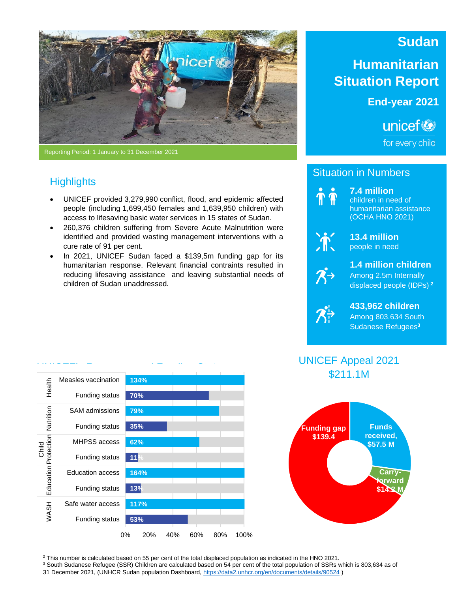

*Mothers pose inside the classroom at the UNICEF-supported ALP programme in Kadugli.* Reporting Period: 1 January to 31 December 2021

# **Highlights**

- UNICEF provided 3,279,990 conflict, flood, and epidemic affected people (including 1,699,450 females and 1,639,950 children) with access to lifesaving basic water services in 15 states of Sudan.
- 260,376 children suffering from Severe Acute Malnutrition were identified and provided wasting management interventions with a cure rate of 91 per cent.
- In 2021, UNICEF Sudan faced a \$139,5m funding gap for its humanitarian response. Relevant financial contraints resulted in reducing lifesaving assistance and leaving substantial needs of children of Sudan unaddressed.

# **Sudan**

# **Humanitarian Situation Report**

**End-year 2021**

unicef<sup>(2)</sup>

for every child

### Situation in Numbers



**7.4 million** children in need of humanitarian assistance (OCHA HNO 2021)



**13.4 million** people in need



#### **1.4 million children** Among 2.5m Internally displaced people (IDPs) **<sup>2</sup>**

 $\mathcal{B}^{\mathsf{i}}$ 

#### **433,962 children** Among 803,634 South Sudanese Refugees**<sup>3</sup>**





**134% 70% 79% 35% 62% 11% 164% 13% 117% 53%** 0% 20% 40% 60% 80% 100% Measles vaccination Funding status SAM admissions Funding status MHPSS access Funding status Education access Funding status Safe water access Funding status Health Nutrition nild<br>Child Protection Education WASH

<sup>2</sup> This number is calculated based on 55 per cent of the total displaced population as indicated in the HNO 2021.

<sup>3</sup> South Sudanese Refugee (SSR) Children are calculated based on 54 per cent of the total population of SSRs which is 803,634 as of

31 December 2021, (UNHCR Sudan population Dashboard, <https://data2.unhcr.org/en/documents/details/90524> )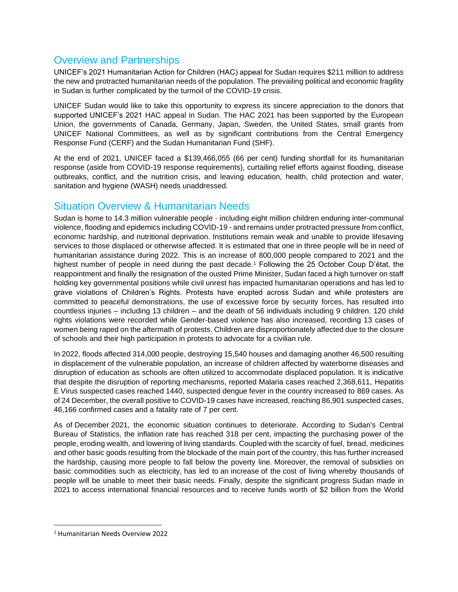## Overview and Partnerships

UNICEF's 2021 Humanitarian Action for Children (HAC) appeal for Sudan requires \$211 million to address the new and protracted humanitarian needs of the population. The prevailing political and economic fragility in Sudan is further complicated by the turmoil of the COVID-19 crisis.

UNICEF Sudan would like to take this opportunity to express its sincere appreciation to the donors that supported UNICEF's 2021 HAC appeal in Sudan. The HAC 2021 has been supported by the European Union, the governments of Canada, Germany, Japan, Sweden, the United States, small grants from UNICEF National Committees, as well as by significant contributions from the Central Emergency Response Fund (CERF) and the Sudan Humanitarian Fund (SHF).

At the end of 2021, UNICEF faced a \$139,466,055 (66 per cent) funding shortfall for its humanitarian response (aside from COVID-19 response requirements), curtailing relief efforts against flooding, disease outbreaks, conflict, and the nutrition crisis, and leaving education, health, child protection and water, sanitation and hygiene (WASH) needs unaddressed.

## Situation Overview & Humanitarian Needs

Sudan is home to 14.3 million vulnerable people - including eight million children enduring inter-communal violence, flooding and epidemics including COVID-19 - and remains under protracted pressure from conflict, economic hardship, and nutritional deprivation. Institutions remain weak and unable to provide lifesaving services to those displaced or otherwise affected. It is estimated that one in three people will be in need of humanitarian assistance during 2022. This is an increase of 800,000 people compared to 2021 and the highest number of people in need during the past decade. <sup>1</sup> Following the 25 October Coup D'état, the reappointment and finally the resignation of the ousted Prime Minister, Sudan faced a high turnover on staff holding key governmental positions while civil unrest has impacted humanitarian operations and has led to grave violations of Children's Rights. Protests have erupted across Sudan and while protesters are committed to peaceful demonstrations, the use of excessive force by security forces, has resulted into countless injuries – including 13 children – and the death of 56 individuals including 9 children. 120 child rights violations were recorded while Gender-based violence has also increased, recording 13 cases of women being raped on the aftermath of protests. Children are disproportionately affected due to the closure of schools and their high participation in protests to advocate for a civilian rule.

In 2022, floods affected 314,000 people, destroying 15,540 houses and damaging another 46,500 resulting in displacement of the vulnerable population, an increase of children affected by waterborne diseases and disruption of education as schools are often utilized to accommodate displaced population. It is indicative that despite the disruption of reporting mechanisms, reported Malaria cases reached 2,368,611, Hepatitis E Virus suspected cases reached 1440, suspected dengue fever in the country increased to 869 cases. As of 24 December, the overall positive to COVID-19 cases have increased, reaching 86,901 suspected cases, 46,166 confirmed cases and a fatality rate of 7 per cent.

As of December 2021, the economic situation continues to deteriorate. According to Sudan's Central Bureau of Statistics, the inflation rate has reached 318 per cent, impacting the purchasing power of the people, eroding wealth, and lowering of living standards. Coupled with the scarcity of fuel, bread, medicines and other basic goods resulting from the blockade of the main port of the country, this has further increased the hardship, causing more people to fall below the poverty line. Moreover, the removal of subsidies on basic commodities such as electricity, has led to an increase of the cost of living whereby thousands of people will be unable to meet their basic needs. Finally, despite the significant progress Sudan made in 2021 to access international financial resources and to receive funds worth of \$2 billion from the World

<sup>1</sup> Humanitarian Needs Overview 2022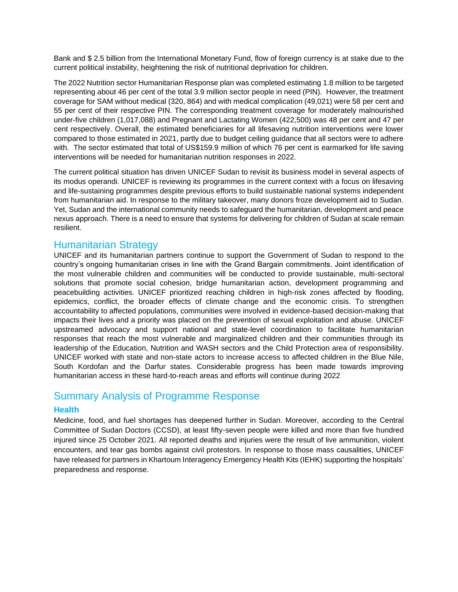Bank and \$ 2.5 billion from the International Monetary Fund, flow of foreign currency is at stake due to the current political instability, heightening the risk of nutritional deprivation for children.

The 2022 Nutrition sector Humanitarian Response plan was completed estimating 1.8 million to be targeted representing about 46 per cent of the total 3.9 million sector people in need (PIN). However, the treatment coverage for SAM without medical (320, 864) and with medical complication (49,021) were 58 per cent and 55 per cent of their respective PIN. The corresponding treatment coverage for moderately malnourished under-five children (1,017,088) and Pregnant and Lactating Women (422,500) was 48 per cent and 47 per cent respectively. Overall, the estimated beneficiaries for all lifesaving nutrition interventions were lower compared to those estimated in 2021, partly due to budget ceiling guidance that all sectors were to adhere with. The sector estimated that total of US\$159.9 million of which 76 per cent is earmarked for life saving interventions will be needed for humanitarian nutrition responses in 2022.

The current political situation has driven UNICEF Sudan to revisit its business model in several aspects of its modus operandi. UNICEF is reviewing its programmes in the current context with a focus on lifesaving and life-sustaining programmes despite previous efforts to build sustainable national systems independent from humanitarian aid. In response to the military takeover, many donors froze development aid to Sudan. Yet, Sudan and the international community needs to safeguard the humanitarian, development and peace nexus approach. There is a need to ensure that systems for delivering for children of Sudan at scale remain resilient.

### Humanitarian Strategy

UNICEF and its humanitarian partners continue to support the Government of Sudan to respond to the country's ongoing humanitarian crises in line with the Grand Bargain commitments. Joint identification of the most vulnerable children and communities will be conducted to provide sustainable, multi-sectoral solutions that promote social cohesion, bridge humanitarian action, development programming and peacebuilding activities. UNICEF prioritized reaching children in high-risk zones affected by flooding, epidemics, conflict, the broader effects of climate change and the economic crisis. To strengthen accountability to affected populations, communities were involved in evidence-based decision-making that impacts their lives and a priority was placed on the prevention of sexual exploitation and abuse. UNICEF upstreamed advocacy and support national and state-level coordination to facilitate humanitarian responses that reach the most vulnerable and marginalized children and their communities through its leadership of the Education, Nutrition and WASH sectors and the Child Protection area of responsibility. UNICEF worked with state and non-state actors to increase access to affected children in the Blue Nile, South Kordofan and the Darfur states. Considerable progress has been made towards improving humanitarian access in these hard-to-reach areas and efforts will continue during 2022

### Summary Analysis of Programme Response

#### **Health**

Medicine, food, and fuel shortages has deepened further in Sudan. Moreover, according to the Central Committee of Sudan Doctors (CCSD), at least fifty-seven people were killed and more than five hundred injured since 25 October 2021. All reported deaths and injuries were the result of live ammunition, violent encounters, and tear gas bombs against civil protestors. In response to those mass causalities, UNICEF have released for partners in Khartoum Interagency Emergency Health Kits (IEHK) supporting the hospitals' preparedness and response.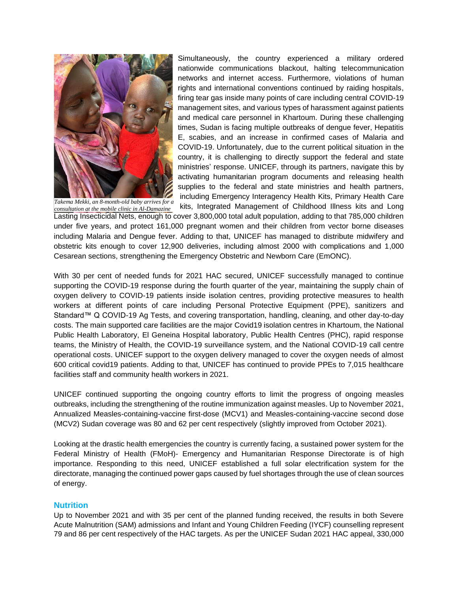

*Takema Mekki, an 8-month-old baby arrives for a consultation at the mobile clinic in Al-Damazine*

Simultaneously, the country experienced a military ordered nationwide communications blackout, halting telecommunication networks and internet access. Furthermore, violations of human rights and international conventions continued by raiding hospitals, firing tear gas inside many points of care including central COVID-19 management sites, and various types of harassment against patients and medical care personnel in Khartoum. During these challenging times, Sudan is facing multiple outbreaks of dengue fever, Hepatitis E, scabies, and an increase in confirmed cases of Malaria and COVID-19. Unfortunately, due to the current political situation in the country, it is challenging to directly support the federal and state ministries' response. UNICEF, through its partners, navigate this by activating humanitarian program documents and releasing health supplies to the federal and state ministries and health partners, including Emergency Interagency Health Kits, Primary Health Care kits, Integrated Management of Childhood Illness kits and Long

Lasting Insecticidal Nets, enough to cover 3,800,000 total adult population, adding to that 785,000 children under five years, and protect 161,000 pregnant women and their children from vector borne diseases including Malaria and Dengue fever. Adding to that, UNICEF has managed to distribute midwifery and obstetric kits enough to cover 12,900 deliveries, including almost 2000 with complications and 1,000 Cesarean sections, strengthening the Emergency Obstetric and Newborn Care (EmONC).

With 30 per cent of needed funds for 2021 HAC secured, UNICEF successfully managed to continue supporting the COVID-19 response during the fourth quarter of the year, maintaining the supply chain of oxygen delivery to COVID-19 patients inside isolation centres, providing protective measures to health workers at different points of care including Personal Protective Equipment (PPE), sanitizers and Standard™ Q COVID-19 Ag Tests, and covering transportation, handling, cleaning, and other day-to-day costs. The main supported care facilities are the major Covid19 isolation centres in Khartoum, the National Public Health Laboratory, El Geneina Hospital laboratory, Public Health Centres (PHC), rapid response teams, the Ministry of Health, the COVID-19 surveillance system, and the National COVID-19 call centre operational costs. UNICEF support to the oxygen delivery managed to cover the oxygen needs of almost 600 critical covid19 patients. Adding to that, UNICEF has continued to provide PPEs to 7,015 healthcare facilities staff and community health workers in 2021.

UNICEF continued supporting the ongoing country efforts to limit the progress of ongoing measles outbreaks, including the strengthening of the routine immunization against measles. Up to November 2021, Annualized Measles-containing-vaccine first-dose (MCV1) and Measles-containing-vaccine second dose (MCV2) Sudan coverage was 80 and 62 per cent respectively (slightly improved from October 2021).

Looking at the drastic health emergencies the country is currently facing, a sustained power system for the Federal Ministry of Health (FMoH)- Emergency and Humanitarian Response Directorate is of high importance. Responding to this need, UNICEF established a full solar electrification system for the directorate, managing the continued power gaps caused by fuel shortages through the use of clean sources of energy.

#### **Nutrition**

Up to November 2021 and with 35 per cent of the planned funding received, the results in both Severe Acute Malnutrition (SAM) admissions and Infant and Young Children Feeding (IYCF) counselling represent 79 and 86 per cent respectively of the HAC targets. As per the UNICEF Sudan 2021 HAC appeal, 330,000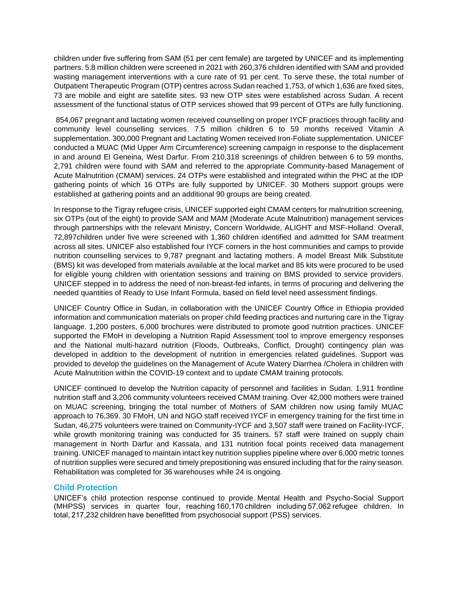children under five suffering from SAM (51 per cent female) are targeted by UNICEF and its implementing partners. 5.8 million children were screened in 2021 with 260,376 children identified with SAM and provided wasting management interventions with a cure rate of 91 per cent. To serve these, the total number of Outpatient Therapeutic Program (OTP) centres across Sudan reached 1,753, of which 1,636 are fixed sites, 73 are mobile and eight are satellite sites. 93 new OTP sites were established across Sudan. A recent assessment of the functional status of OTP services showed that 99 percent of OTPs are fully functioning.

854,067 pregnant and lactating women received counselling on proper IYCF practices through facility and community level counselling services. 7.5 million children 6 to 59 months received Vitamin A supplementation. 300,000 Pregnant and Lactating Women received Iron-Foliate supplementation. UNICEF conducted a MUAC (Mid Upper Arm Circumference) screening campaign in response to the displacement in and around El Geneina, West Darfur. From 210,318 screenings of children between 6 to 59 months, 2,791 children were found with SAM and referred to the appropriate Community-based Management of Acute Malnutrition (CMAM) services. 24 OTPs were established and integrated within the PHC at the IDP gathering points of which 16 OTPs are fully supported by UNICEF. 30 Mothers support groups were established at gathering points and an additional 90 groups are being created.

In response to the Tigray refugee crisis, UNICEF supported eight CMAM centers for malnutrition screening, six OTPs (out of the eight) to provide SAM and MAM (Moderate Acute Malnutrition) management services through partnerships with the relevant Ministry, Concern Worldwide, ALIGHT and MSF-Holland. Overall, 72,897children under five were screened with 1,360 children identified and admitted for SAM treatment across all sites. UNICEF also established four IYCF corners in the host communities and camps to provide nutrition counselling services to 9,787 pregnant and lactating mothers. A model Breast Milk Substitute (BMS) kit was developed from materials available at the local market and 85 kits were procured to be used for eligible young children with orientation sessions and training on BMS provided to service providers. UNICEF stepped in to address the need of non-breast-fed infants, in terms of procuring and delivering the needed quantities of Ready to Use Infant Formula, based on field level need assessment findings.

UNICEF Country Office in Sudan, in collaboration with the UNICEF Country Office in Ethiopia provided information and communication materials on proper child feeding practices and nurturing care in the Tigray language. 1,200 posters, 6,000 brochures were distributed to promote good nutrition practices. UNICEF supported the FMoH in developing a Nutrition Rapid Assessment tool to improve emergency responses and the National multi-hazard nutrition (Floods, Outbreaks, Conflict, Drought) contingency plan was developed in addition to the development of nutrition in emergencies related guidelines. Support was provided to develop the guidelines on the Management of Acute Watery Diarrhea /Cholera in children with Acute Malnutrition within the COVID-19 context and to update CMAM training protocols.

UNICEF continued to develop the Nutrition capacity of personnel and facilities in Sudan. 1,911 frontline nutrition staff and 3,206 community volunteers received CMAM training. Over 42,000 mothers were trained on MUAC screening, bringing the total number of Mothers of SAM children now using family MUAC approach to 76,369. 30 FMoH, UN and NGO staff received IYCF in emergency training for the first time in Sudan, 46,275 volunteers were trained on Community-IYCF and 3,507 staff were trained on Facility-IYCF, while growth monitoring training was conducted for 35 trainers. 57 staff were trained on supply chain management in North Darfur and Kassala, and 131 nutrition focal points received data management training. UNICEF managed to maintain intact key nutrition supplies pipeline where over 6,000 metric tonnes of nutrition supplies were secured and timely prepositioning was ensured including that for the rainy season. Rehabilitation was completed for 36 warehouses while 24 is ongoing.

#### **Child Protection**

UNICEF's child protection response continued to provide Mental Health and Psycho-Social Support (MHPSS) services in quarter four, reaching 160,170 children including 57,062 refugee children. In total, 217,232 children have benefitted from psychosocial support (PSS) services.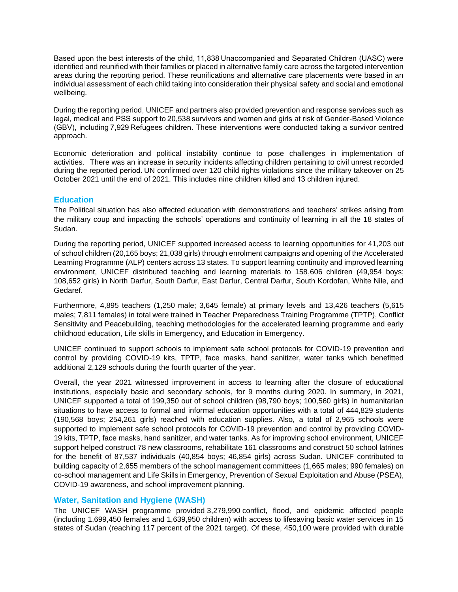Based upon the best interests of the child, 11,838 Unaccompanied and Separated Children (UASC) were identified and reunified with their families or placed in alternative family care across the targeted intervention areas during the reporting period. These reunifications and alternative care placements were based in an individual assessment of each child taking into consideration their physical safety and social and emotional wellbeing.

During the reporting period, UNICEF and partners also provided prevention and response services such as legal, medical and PSS support to 20,538 survivors and women and girls at risk of Gender-Based Violence (GBV), including 7,929 Refugees children. These interventions were conducted taking a survivor centred approach.

Economic deterioration and political instability continue to pose challenges in implementation of activities. There was an increase in security incidents affecting children pertaining to civil unrest recorded during the reported period. UN confirmed over 120 child rights violations since the military takeover on 25 October 2021 until the end of 2021. This includes nine children killed and 13 children injured. 

#### **Education**

The Political situation has also affected education with demonstrations and teachers' strikes arising from the military coup and impacting the schools' operations and continuity of learning in all the 18 states of Sudan.

During the reporting period, UNICEF supported increased access to learning opportunities for 41,203 out of school children (20,165 boys; 21,038 girls) through enrolment campaigns and opening of the Accelerated Learning Programme (ALP) centers across 13 states. To support learning continuity and improved learning environment, UNICEF distributed teaching and learning materials to 158,606 children (49,954 boys; 108,652 girls) in North Darfur, South Darfur, East Darfur, Central Darfur, South Kordofan, White Nile, and Gedaref.

Furthermore, 4,895 teachers (1,250 male; 3,645 female) at primary levels and 13,426 teachers (5,615 males; 7,811 females) in total were trained in Teacher Preparedness Training Programme (TPTP), Conflict Sensitivity and Peacebuilding, teaching methodologies for the accelerated learning programme and early childhood education, Life skills in Emergency, and Education in Emergency.

UNICEF continued to support schools to implement safe school protocols for COVID-19 prevention and control by providing COVID-19 kits, TPTP, face masks, hand sanitizer, water tanks which benefitted additional 2,129 schools during the fourth quarter of the year.

Overall, the year 2021 witnessed improvement in access to learning after the closure of educational institutions, especially basic and secondary schools, for 9 months during 2020. In summary, in 2021, UNICEF supported a total of 199,350 out of school children (98,790 boys; 100,560 girls) in humanitarian situations to have access to formal and informal education opportunities with a total of 444,829 students (190,568 boys; 254,261 girls) reached with education supplies. Also, a total of 2,965 schools were supported to implement safe school protocols for COVID-19 prevention and control by providing COVID-19 kits, TPTP, face masks, hand sanitizer, and water tanks. As for improving school environment, UNICEF support helped construct 78 new classrooms, rehabilitate 161 classrooms and construct 50 school latrines for the benefit of 87,537 individuals (40,854 boys; 46,854 girls) across Sudan. UNICEF contributed to building capacity of 2,655 members of the school management committees (1,665 males; 990 females) on co-school management and Life Skills in Emergency, Prevention of Sexual Exploitation and Abuse (PSEA), COVID-19 awareness, and school improvement planning.

#### **Water, Sanitation and Hygiene (WASH)**

The UNICEF WASH programme provided 3,279,990 conflict, flood, and epidemic affected people (including 1,699,450 females and 1,639,950 children) with access to lifesaving basic water services in 15 states of Sudan (reaching 117 percent of the 2021 target). Of these, 450,100 were provided with durable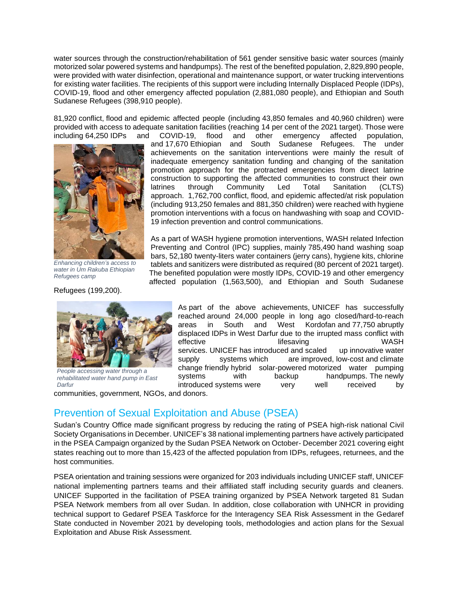water sources through the construction/rehabilitation of 561 gender sensitive basic water sources (mainly motorized solar powered systems and handpumps). The rest of the benefited population, 2,829,890 people, were provided with water disinfection, operational and maintenance support, or water trucking interventions for existing water facilities. The recipients of this support were including Internally Displaced People (IDPs), COVID-19, flood and other emergency affected population (2,881,080 people), and Ethiopian and South Sudanese Refugees (398,910 people).

81,920 conflict, flood and epidemic affected people (including 43,850 females and 40,960 children) were provided with access to adequate sanitation facilities (reaching 14 per cent of the 2021 target). Those were including 64,250 IDPs and COVID-19, flood and other emergency affected population,



*Enhancing children's access to water in Um Rakuba Ethiopian Refugees camp* 

Refugees (199,200).



*People accessing water through a rehabilitated water hand pump in East Darfur*

communities, government, NGOs, and donors.

Prevention of Sexual Exploitation and Abuse (PSEA)

Sudan's Country Office made significant progress by reducing the rating of PSEA high-risk national Civil Society Organisations in December. UNICEF's 38 national implementing partners have actively participated in the PSEA Campaign organized by the Sudan PSEA Network on October- December 2021 covering eight states reaching out to more than 15,423 of the affected population from IDPs, refugees, returnees, and the host communities.

PSEA orientation and training sessions were organized for 203 individuals including UNICEF staff, UNICEF national implementing partners teams and their affiliated staff including security guards and cleaners. UNICEF Supported in the facilitation of PSEA training organized by PSEA Network targeted 81 Sudan PSEA Network members from all over Sudan. In addition, close collaboration with UNHCR in providing technical support to Gedaref PSEA Taskforce for the Interagency SEA Risk Assessment in the Gedaref State conducted in November 2021 by developing tools, methodologies and action plans for the Sexual Exploitation and Abuse Risk Assessment.

and 17,670 Ethiopian and South Sudanese Refugees. The under achievements on the sanitation interventions were mainly the result of inadequate emergency sanitation funding and changing of the sanitation promotion approach for the protracted emergencies from direct latrine construction to supporting the affected communities to construct their own latrines through Community Led Total Sanitation (CLTS) approach. 1,762,700 conflict, flood, and epidemic affected/at risk population (including 913,250 females and 881,350 children) were reached with hygiene promotion interventions with a focus on handwashing with soap and COVID-19 infection prevention and control communications.

As a part of WASH hygiene promotion interventions, WASH related Infection Preventing and Control (IPC) supplies, mainly 785,490 hand washing soap bars, 52,180 twenty-liters water containers (jerry cans), hygiene kits, chlorine tablets and sanitizers were distributed as required (80 percent of 2021 target). The benefited population were mostly IDPs, COVID-19 and other emergency affected population (1,563,500), and Ethiopian and South Sudanese

> As part of the above achievements, UNICEF has successfully reached around 24,000 people in long ago closed/hard-to-reach areas in South and West Kordofan and 77,750 abruptly displaced IDPs in West Darfur due to the irrupted mass conflict with effective lifesaving under the UNASH services. UNICEF has introduced and scaled up innovative water supply systems which are improved, low-cost and climate change friendly hybrid solar-powered motorized water pumping systems with backup handpumps. The newly introduced systems were very well received by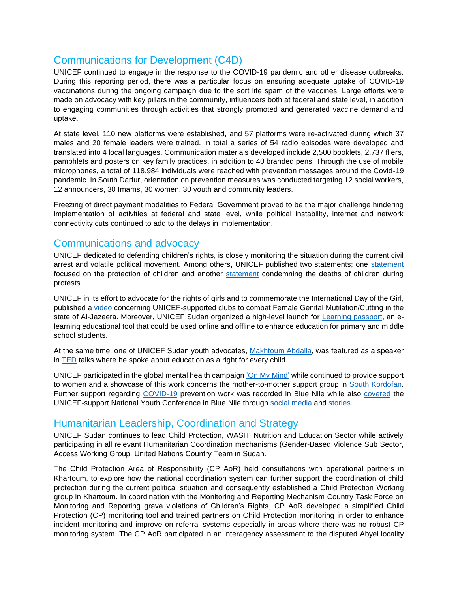# Communications for Development (C4D)

UNICEF continued to engage in the response to the COVID-19 pandemic and other disease outbreaks. During this reporting period, there was a particular focus on ensuring adequate uptake of COVID-19 vaccinations during the ongoing campaign due to the sort life spam of the vaccines. Large efforts were made on advocacy with key pillars in the community, influencers both at federal and state level, in addition to engaging communities through activities that strongly promoted and generated vaccine demand and uptake.

At state level, 110 new platforms were established, and 57 platforms were re-activated during which 37 males and 20 female leaders were trained. In total a series of 54 radio episodes were developed and translated into 4 local languages. Communication materials developed include 2,500 booklets, 2,737 fliers, pamphlets and posters on key family practices, in addition to 40 branded pens. Through the use of mobile microphones, a total of 118,984 individuals were reached with prevention messages around the Covid-19 pandemic. In South Darfur, orientation on prevention measures was conducted targeting 12 social workers, 12 announcers, 30 Imams, 30 women, 30 youth and community leaders.

Freezing of direct payment modalities to Federal Government proved to be the major challenge hindering implementation of activities at federal and state level, while political instability, internet and network connectivity cuts continued to add to the delays in implementation.

### Communications and advocacy

UNICEF dedicated to defending children's rights, is closely monitoring the situation during the current civil arrest and volatile political movement. Among others, UNICEF published two statements; one [statement](https://www.unicef.org/sudan/press-releases/protection-children-must-be-prioritized-all-times) focused on the protection of children and another [statement](https://www.unicef.org/mena/press-releases/three-children-killed-sudan-recent-unrest) condemning the deaths of children during protests.

UNICEF in its effort to advocate for the rights of girls and to commemorate the International Day of the Girl, published a [video](https://www.youtube.com/watch?v=zqVt77mwHl8) concerning UNICEF-supported clubs to combat Female Genital Mutilation/Cutting in the state of Al-Jazeera. Moreover, UNICEF Sudan organized a high-level launch for [Learning passport,](https://www.unicef.org/sudan/press-releases/learning-passport-launched-sudan) an elearning educational tool that could be used online and offline to enhance education for primary and middle school students.

At the same time, one of UNICEF Sudan youth advocates, [Makhtoum Abdalla,](https://www.unicef.org/sudan/stories/unicef-sudan-youth-advocate-0) was featured as a speaker in [TED](https://www.ted.com/talks/makhtoum_abdalla_education_is_a_fundamental_right_for_every_child/up-next) talks where he spoke about education as a right for every child.

UNICEF participated in the global mental health campaign ['On My Mind'](https://www.instagram.com/stories/highlights/18235619926073600/) while continued to provide support to women and a showcase of this work concerns the mother-to-mother support group in [South Kordofan.](https://www.unicef.org/sudan/stories/mother-mother-support-groups-spread-helpful-messages-ka) Further support regarding [COVID-19](https://www.unicef.org/sudan/stories/how-health-workers-are-combatting-covid-19-blue-nile-region-sudan) prevention work was recorded in Blue Nile while also [covered](https://www.unicef.org/sudan/stories/when-girls-and-womens-rights-are-violated-whole-community-collapses) the UNICEF-support National Youth Conference in Blue Nile through [social media](https://twitter.com/UNICEFSudan/status/1447892379185319940) and [stories.](https://www.unicef.org/sudan/stories/voices-youth-sudan-gender-based-violence-gbv)

### Humanitarian Leadership, Coordination and Strategy

UNICEF Sudan continues to lead Child Protection, WASH, Nutrition and Education Sector while actively participating in all relevant Humanitarian Coordination mechanisms (Gender-Based Violence Sub Sector, Access Working Group, United Nations Country Team in Sudan.

The Child Protection Area of Responsibility (CP AoR) held consultations with operational partners in Khartoum, to explore how the national coordination system can further support the coordination of child protection during the current political situation and consequently established a Child Protection Working group in Khartoum. In coordination with the Monitoring and Reporting Mechanism Country Task Force on Monitoring and Reporting grave violations of Children's Rights, CP AoR developed a simplified Child Protection (CP) monitoring tool and trained partners on Child Protection monitoring in order to enhance incident monitoring and improve on referral systems especially in areas where there was no robust CP monitoring system. The CP AoR participated in an interagency assessment to the disputed Abyei locality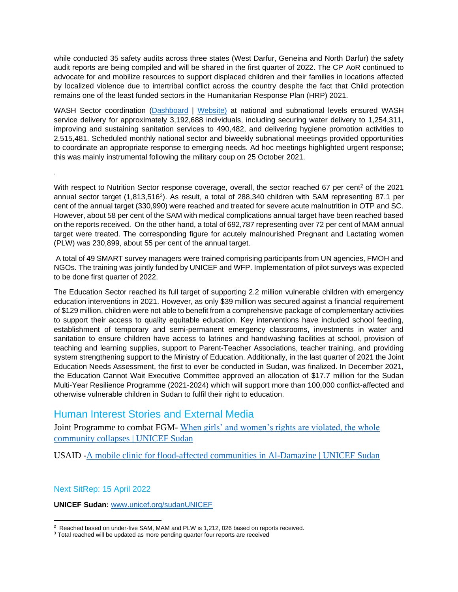while conducted 35 safety audits across three states (West Darfur, Geneina and North Darfur) the safety audit reports are being compiled and will be shared in the first quarter of 2022. The CP AoR continued to advocate for and mobilize resources to support displaced children and their families in locations affected by localized violence due to intertribal conflict across the country despite the fact that Child protection remains one of the least funded sectors in the Humanitarian Response Plan (HRP) 2021.

WASH Sector coordination [\(Dashboard](https://app.powerbi.com/view?r=eyJrIjoiOTNmMWQ0MzEtODk5NS00Y2E3LTliZmUtYmRkYjQ0YTJjZGE2IiwidCI6Ijc3NDEwMTk1LTE0ZTEtNGZiOC05MDRiLWFiMTg5MjAyMzY2NyIsImMiOjh9) | [Website\)](https://www.humanitarianresponse.info/en/operations/sudan/water-sanitation-hygiene) at national and subnational levels ensured WASH service delivery for approximately 3,192,688 individuals, including securing water delivery to 1,254,311, improving and sustaining sanitation services to 490,482, and delivering hygiene promotion activities to 2,515,481. Scheduled monthly national sector and biweekly subnational meetings provided opportunities to coordinate an appropriate response to emerging needs. Ad hoc meetings highlighted urgent response; this was mainly instrumental following the military coup on 25 October 2021.

With respect to Nutrition Sector response coverage, overall, the sector reached 67 per cent<sup>2</sup> of the 2021 annual sector target (1,813,516<sup>3</sup>). As result, a total of 288,340 children with SAM representing 87.1 per cent of the annual target (330,990) were reached and treated for severe acute malnutrition in OTP and SC. However, about 58 per cent of the SAM with medical complications annual target have been reached based on the reports received. On the other hand, a total of 692,787 representing over 72 per cent of MAM annual target were treated. The corresponding figure for acutely malnourished Pregnant and Lactating women (PLW) was 230,899, about 55 per cent of the annual target.

A total of 49 SMART survey managers were trained comprising participants from UN agencies, FMOH and NGOs. The training was jointly funded by UNICEF and WFP. Implementation of pilot surveys was expected to be done first quarter of 2022.

The Education Sector reached its full target of supporting 2.2 million vulnerable children with emergency education interventions in 2021. However, as only \$39 million was secured against a financial requirement of \$129 million, children were not able to benefit from a comprehensive package of complementary activities to support their access to quality equitable education. Key interventions have included school feeding, establishment of temporary and semi-permanent emergency classrooms, investments in water and sanitation to ensure children have access to latrines and handwashing facilities at school, provision of teaching and learning supplies, support to Parent-Teacher Associations, teacher training, and providing system strengthening support to the Ministry of Education. Additionally, in the last quarter of 2021 the Joint Education Needs Assessment, the first to ever be conducted in Sudan, was finalized. In December 2021, the Education Cannot Wait Executive Committee approved an allocation of \$17.7 million for the Sudan Multi-Year Resilience Programme (2021-2024) which will support more than 100,000 conflict-affected and otherwise vulnerable children in Sudan to fulfil their right to education.

### Human Interest Stories and External Media

Joint Programme to combat FGM- When girls' and women's rights are violated, the whole [community collapses | UNICEF Sudan](https://www.unicef.org/sudan/stories/when-girls-and-womens-rights-are-violated-whole-community-collapses)

USAID [-A mobile clinic for flood-affected communities in Al-Damazine | UNICEF Sudan](https://www.unicef.org/sudan/stories/mobile-clinic-flood-affected-communities-al-damazine)

#### Next SitRep: 15 April 2022

.

**UNICEF Sudan:** [www.unicef.org/sudanUNICEF](http://www.unicef.org/sudanUNICEF)

 $2$  Reached based on under-five SAM, MAM and PLW is 1,212, 026 based on reports received.

<sup>&</sup>lt;sup>3</sup> Total reached will be updated as more pending quarter four reports are received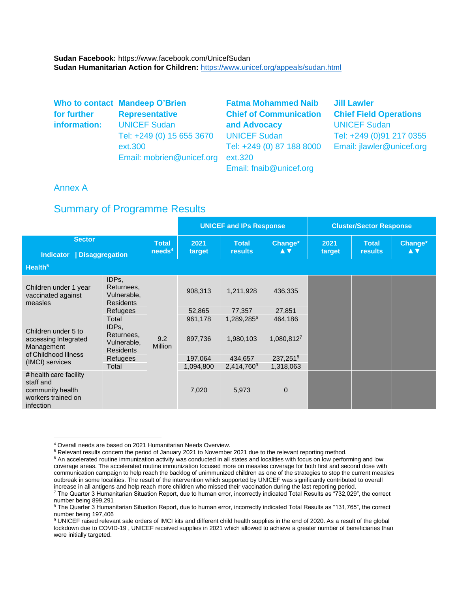**Sudan Facebook:** https://www.facebook.com/UnicefSudan **Sudan Humanitarian Action for Children:** <https://www.unicef.org/appeals/sudan.html>

|              | Who to contact Mandeep O'Brien | <b>Fatma Mohammed Naib</b>    | <b>Jill Lawler</b>            |
|--------------|--------------------------------|-------------------------------|-------------------------------|
| for further  | <b>Representative</b>          | <b>Chief of Communication</b> | <b>Chief Field Operations</b> |
| information: | <b>UNICEF Sudan</b>            | and Advocacy                  | <b>UNICEF Sudan</b>           |
|              | Tel: +249 (0) 15 655 3670      | <b>UNICEF Sudan</b>           | Tel: +249 (0)91 217 0355      |
|              | ext.300                        | Tel: +249 (0) 87 188 8000     | Email: jlawler@unicef.org     |
|              | Email: mobrien@unicef.org      | ext.320                       |                               |
|              |                                | Email: fnaib@unicef.org       |                               |

#### Annex A

### Summary of Programme Results

|                                                                  |                                                        |                                       |                   | <b>UNICEF and IPs Response</b> |                      |                | <b>Cluster/Sector Response</b> |                |
|------------------------------------------------------------------|--------------------------------------------------------|---------------------------------------|-------------------|--------------------------------|----------------------|----------------|--------------------------------|----------------|
| <b>Sector</b><br><b>Indicator</b><br>Disaggregation              |                                                        | <b>Total</b><br>$n$ eeds <sup>4</sup> | 2021<br>target    | <b>Total</b><br><b>results</b> | Change*<br><b>AV</b> | 2021<br>target | <b>Total</b><br><b>results</b> | Change*<br>A V |
| Health <sup>5</sup>                                              |                                                        |                                       |                   |                                |                      |                |                                |                |
| Children under 1 year<br>vaccinated against<br>measles           | IDPs,<br>Returnees.<br>Vulnerable,<br><b>Residents</b> | 9.2<br><b>Million</b>                 | 908,313           | 1,211,928                      | 436,335              |                |                                |                |
|                                                                  | Refugees<br>Total                                      |                                       | 52.865<br>961,178 | 77.357<br>1,289,2856           | 27,851<br>464,186    |                |                                |                |
| Children under 5 to<br>accessing Integrated<br>Management        | IDPs,<br>Returnees,<br>Vulnerable,<br><b>Residents</b> |                                       | 897,736           | 1,980,103                      | 1,080,8127           |                |                                |                |
| of Childhood Illness<br>(IMCI) services                          | <b>Refugees</b>                                        |                                       | 197,064           | 434,657                        | 237,2518             |                |                                |                |
| # health care facility                                           | Total                                                  |                                       | 1,094,800         | 2,414,760 <sup>9</sup>         | 1,318,063            |                |                                |                |
| staff and<br>community health<br>workers trained on<br>infection |                                                        |                                       | 7,020             | 5,973                          | $\Omega$             |                |                                |                |

<sup>4</sup> Overall needs are based on 2021 Humanitarian Needs Overview.

<sup>5</sup> Relevant results concern the period of January 2021 to November 2021 due to the relevant reporting method.

<sup>&</sup>lt;sup>6</sup> An accelerated routine immunization activity was conducted in all states and localities with focus on low performing and low coverage areas. The accelerated routine immunization focused more on measles coverage for both first and second dose with communication campaign to help reach the backlog of unimmunized children as one of the strategies to stop the current measles outbreak in some localities. The result of the intervention which supported by UNICEF was significantly contributed to overall increase in all antigens and help reach more children who missed their vaccination during the last reporting period.  $^7$  The Quarter 3 Humanitarian Situation Report, due to human error, incorrectly indicated Total Results as  $^{\circ}732,029^{\circ}$ , the correct

number being 899,291 <sup>8</sup> The Quarter 3 Humanitarian Situation Report, due to human error, incorrectly indicated Total Results as "131,765", the correct

number being 197,406

<sup>9</sup> UNICEF raised relevant sale orders of IMCI kits and different child health supplies in the end of 2020. As a result of the global lockdown due to COVID-19 , UNICEF received supplies in 2021 which allowed to achieve a greater number of beneficiaries than were initially targeted.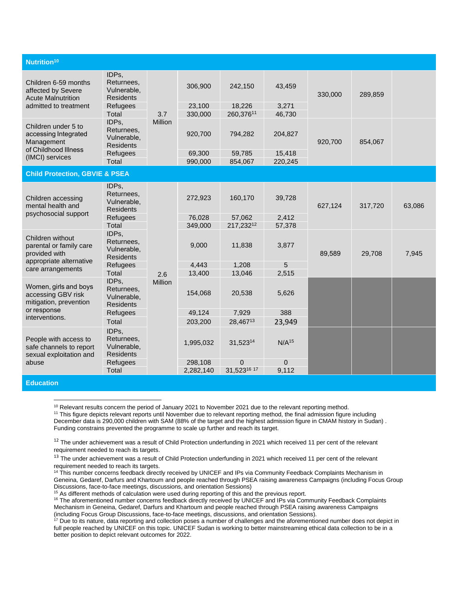| Nutrition <sup>10</sup>                                                           |                                                                 |                |                    |                     |                   |         |         |        |
|-----------------------------------------------------------------------------------|-----------------------------------------------------------------|----------------|--------------------|---------------------|-------------------|---------|---------|--------|
| Children 6-59 months<br>affected by Severe<br><b>Acute Malnutrition</b>           | IDPs,<br>Returnees,<br>Vulnerable.<br><b>Residents</b>          |                | 306,900            | 242,150             | 43,459            | 330,000 | 289,859 |        |
| admitted to treatment                                                             | Refugees                                                        |                | 23,100             | 18,226<br>260,37611 | 3,271             |         |         |        |
| Children under 5 to<br>accessing Integrated<br>Management<br>of Childhood Illness | Total<br>IDPs,<br>Returnees,<br>Vulnerable.<br><b>Residents</b> | 3.7<br>Million | 330,000<br>920,700 | 794,282             | 46,730<br>204,827 | 920,700 | 854,067 |        |
| (IMCI) services                                                                   | Refugees<br><b>Total</b>                                        |                | 69,300<br>990,000  | 59,785<br>854,067   | 15,418<br>220,245 |         |         |        |
| <b>Child Protection, GBVIE &amp; PSEA</b>                                         |                                                                 |                |                    |                     |                   |         |         |        |
| Children accessing<br>mental health and                                           | IDPs,<br>Returnees,<br>Vulnerable,<br><b>Residents</b>          |                | 272,923            | 160,170             | 39,728            | 627,124 | 317,720 | 63,086 |
| psychosocial support                                                              | Refugees                                                        |                | 76,028             | 57,062              | 2,412             |         |         |        |
|                                                                                   | Total                                                           |                | 349,000            | 217,23212           | 57,378            |         |         |        |
| Children without<br>parental or family care<br>provided with                      | IDPs,<br>Returnees,<br>Vulnerable,<br><b>Residents</b>          |                | 9,000              | 11,838              | 3,877             | 89,589  | 29,708  | 7,945  |
| appropriate alternative<br>care arrangements                                      | Refugees                                                        |                | 4,443              | 1,208               | 5                 |         |         |        |
|                                                                                   | Total                                                           | 2.6            | 13,400             | 13,046              | 2,515             |         |         |        |
| Women, girls and boys<br>accessing GBV risk<br>mitigation, prevention             | IDPs,<br>Returnees,<br>Vulnerable,<br><b>Residents</b>          | <b>Million</b> | 154,068            | 20,538              | 5,626             |         |         |        |
| or response<br>interventions.                                                     | Refugees                                                        |                | 49,124             | 7,929               | 388               |         |         |        |
|                                                                                   | Total                                                           |                | 203,200            | 28,46713            | 23,949            |         |         |        |
| People with access to<br>safe channels to report<br>sexual exploitation and       | IDPs.<br>Returnees,<br>Vulnerable,<br><b>Residents</b>          |                | 1,995,032          | 31,52314            | N/A <sup>15</sup> |         |         |        |
| abuse                                                                             | Refugees                                                        |                | 298,108            | $\mathbf{0}$        | $\Omega$          |         |         |        |
|                                                                                   | Total                                                           |                | 2,282,140          | 31,52316 17         | 9,112             |         |         |        |

**Education**

<sup>10</sup> Relevant results concern the period of January 2021 to November 2021 due to the relevant reporting method.

<sup>11</sup> This figure depicts relevant reports until November due to relevant reporting method, the final admission figure including December data is 290,000 children with SAM (88% of the target and the highest admission figure in CMAM history in Sudan) . Funding constrains prevented the programme to scale up further and reach its target.

<sup>12</sup> The under achievement was a result of Child Protection underfunding in 2021 which received 11 per cent of the relevant requirement needed to reach its targets.

<sup>13</sup> The under achievement was a result of Child Protection underfunding in 2021 which received 11 per cent of the relevant requirement needed to reach its targets.

14 This number concerns feedback directly received by UNICEF and IPs via Community Feedback Complaints Mechanism in Geneina, Gedaref, Darfurs and Khartoum and people reached through PSEA raising awareness Campaigns (including Focus Group Discussions, face-to-face meetings, discussions, and orientation Sessions)

<sup>15</sup> As different methods of calculation were used during reporting of this and the previous report.

<sup>16</sup> The aforementioned number concerns feedback directly received by UNICEF and IPs via Community Feedback Complaints Mechanism in Geneina, Gedaref, Darfurs and Khartoum and people reached through PSEA raising awareness Campaigns (including Focus Group Discussions, face-to-face meetings, discussions, and orientation Sessions).

 $17$  Due to its nature, data reporting and collection poses a number of challenges and the aforementioned number does not depict in full people reached by UNICEF on this topic. UNICEF Sudan is working to better mainstreaming ethical data collection to be in a better position to depict relevant outcomes for 2022.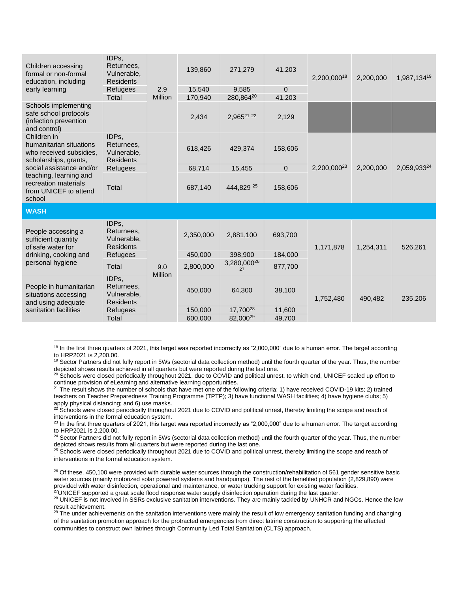| Children accessing<br>formal or non-formal<br>education, including<br>early learning       | IDPs,<br>Returnees.<br>Vulnerable,<br><b>Residents</b><br>Refugees<br>Total | 2.9<br>Million | 139,860<br>15,540<br>170,940 | 271,279<br>9,585<br>280,86420 | 41,203<br>$\Omega$<br>41,203 | 2,200,00018             | 2,200,000 | 1,987,13419 |
|--------------------------------------------------------------------------------------------|-----------------------------------------------------------------------------|----------------|------------------------------|-------------------------------|------------------------------|-------------------------|-----------|-------------|
| Schools implementing<br>safe school protocols<br>(infection prevention<br>and control)     |                                                                             |                | 2,434                        | 2,96521 22                    | 2,129                        |                         |           |             |
| Children in<br>humanitarian situations<br>who received subsidies,<br>scholarships, grants, | IDPs,<br>Returnees,<br>Vulnerable,<br><b>Residents</b>                      |                | 618,426                      | 429,374                       | 158,606                      | 2,200,000 <sup>23</sup> | 2,200,000 | 2,059,93324 |
| social assistance and/or                                                                   | Refugees                                                                    |                | 68,714                       | 15,455                        | $\Omega$                     |                         |           |             |
| teaching, learning and<br>recreation materials<br>from UNICEF to attend<br>school          | <b>Total</b>                                                                |                | 687,140                      | 444.829 25                    | 158,606                      |                         |           |             |
| <b>WASH</b>                                                                                |                                                                             |                |                              |                               |                              |                         |           |             |
| People accessing a<br>sufficient quantity<br>of safe water for                             | IDPs,<br>Returnees.<br>Vulnerable,<br><b>Residents</b>                      |                | 2,350,000                    | 2,881,100                     | 693,700                      | 1,171,878               | 1,254,311 | 526,261     |
| drinking, cooking and                                                                      | Refugees                                                                    |                | 450,000                      | 398,900                       | 184,000                      |                         |           |             |
| personal hygiene                                                                           | Total                                                                       | 9.0            | 2,800,000                    | 3,280,000 <sup>26</sup><br>27 | 877,700                      |                         |           |             |
| People in humanitarian<br>situations accessing<br>and using adequate                       | IDPs,<br>Returnees,<br>Vulnerable,<br><b>Residents</b>                      | Million        | 450,000                      | 64,300                        | 38,100                       | 1,752,480               | 490,482   | 235,206     |
| sanitation facilities                                                                      | <b>Refugees</b>                                                             |                | 150,000                      | 17,700 <sup>28</sup>          | 11,600                       |                         |           |             |
|                                                                                            | Total                                                                       |                | 600,000                      | 82,000 <sup>29</sup>          | 49,700                       |                         |           |             |

<sup>18</sup> In the first three quarters of 2021, this target was reported incorrectly as "2,000,000" due to a human error. The target according to HRP2021 is 2,200,00.

<sup>19</sup> Sector Partners did not fully report in 5Ws (sectorial data collection method) until the fourth quarter of the year. Thus, the number depicted shows results achieved in all quarters but were reported during the last one.

<sup>20</sup> Schools were closed periodically throughout 2021, due to COVID and political unrest, to which end, UNICEF scaled up effort to continue provision of eLearning and alternative learning opportunities.

 $21$  The result shows the number of schools that have met one of the following criteria: 1) have received COVID-19 kits; 2) trained teachers on Teacher Preparedness Training Programme (TPTP); 3) have functional WASH facilities; 4) have hygiene clubs; 5) apply physical distancing; and 6) use masks.

 $22$  Schools were closed periodically throughout 2021 due to COVID and political unrest, thereby limiting the scope and reach of interventions in the formal education system.

<sup>23</sup> In the first three quarters of 2021, this target was reported incorrectly as "2,000,000" due to a human error. The target according to HRP2021 is 2,200,00.

<sup>24</sup> Sector Partners did not fully report in 5Ws (sectorial data collection method) until the fourth quarter of the year. Thus, the number depicted shows results from all quarters but were reported during the last one.

<sup>25</sup> Schools were closed periodically throughout 2021 due to COVID and political unrest, thereby limiting the scope and reach of interventions in the formal education system.

 $26$  Of these, 450,100 were provided with durable water sources through the construction/rehabilitation of 561 gender sensitive basic water sources (mainly motorized solar powered systems and handpumps). The rest of the benefited population (2,829,890) were provided with water disinfection, operational and maintenance, or water trucking support for existing water facilities.

 $^{27}$ UNICEF supported a great scale flood response water supply disinfection operation during the last quarter.

<sup>28</sup> UNICEF is not involved in SSRs exclusive sanitation interventions. They are mainly tackled by UNHCR and NGOs. Hence the low result achievement.

<sup>29</sup> The under achievements on the sanitation interventions were mainly the result of low emergency sanitation funding and changing of the sanitation promotion approach for the protracted emergencies from direct latrine construction to supporting the affected communities to construct own latrines through Community Led Total Sanitation (CLTS) approach.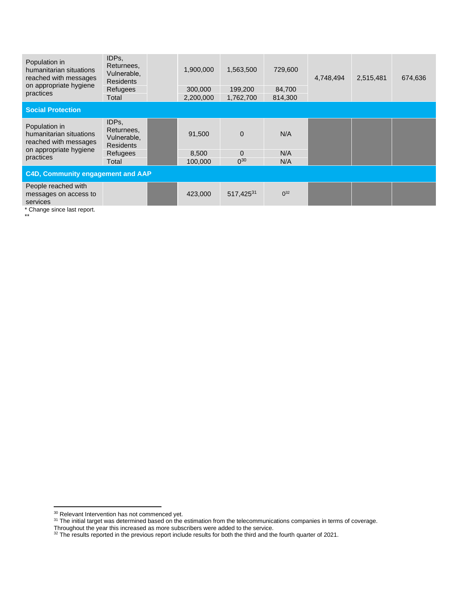| Population in<br>humanitarian situations<br>reached with messages<br>on appropriate hygiene              | IDPs,<br>Returnees,<br>Vulnerable,<br><b>Residents</b><br>Refugees |  | 1,900,000<br>300,000 | 1,563,500<br>199,200 | 729,600<br>84,700 | 4,748,494 | 2,515,481 | 674,636 |  |
|----------------------------------------------------------------------------------------------------------|--------------------------------------------------------------------|--|----------------------|----------------------|-------------------|-----------|-----------|---------|--|
| practices                                                                                                | Total                                                              |  | 2,200,000            | 1,762,700            | 814,300           |           |           |         |  |
| <b>Social Protection</b>                                                                                 |                                                                    |  |                      |                      |                   |           |           |         |  |
| Population in<br>humanitarian situations<br>reached with messages<br>on appropriate hygiene<br>practices | IDPs,<br>Returnees,<br>Vulnerable.<br><b>Residents</b>             |  | 91,500               | $\Omega$             | N/A               |           |           |         |  |
|                                                                                                          | Refugees<br>Total                                                  |  | 8,500<br>100.000     | $\Omega$<br>$0^{30}$ | N/A<br>N/A        |           |           |         |  |
| C4D, Community engagement and AAP                                                                        |                                                                    |  |                      |                      |                   |           |           |         |  |
| People reached with<br>messages on access to<br>services                                                 |                                                                    |  | 423,000              | 517,42531            | $0^{32}$          |           |           |         |  |

\* Change since last report.

\*\*

<sup>&</sup>lt;sup>30</sup> Relevant Intervention has not commenced yet.

 $31$  The initial target was determined based on the estimation from the telecommunications companies in terms of coverage.

Throughout the year this increased as more subscribers were added to the service.

 $32$  The results reported in the previous report include results for both the third and the fourth quarter of 2021.